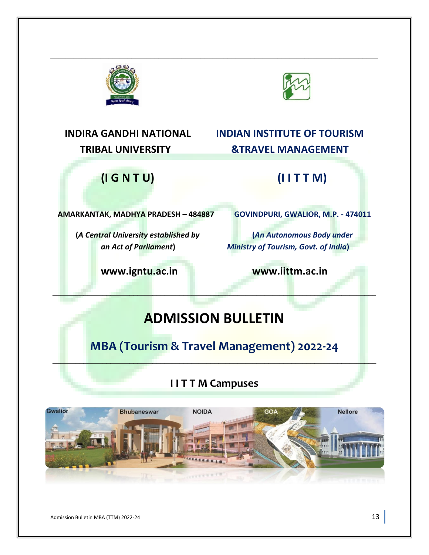



# **INDIRA GANDHI NATIONAL INDIAN INSTITUTE OF TOURISM TRIBAL UNIVERSITY &TRAVEL MANAGEMENT**

# **(I G N T U) (I I T T M)**

**AMARKANTAK, MADHYA PRADESH – 484887 GOVINDPURI, GWALIOR, M.P. - 474011**

**[www.igntu.ac.in](http://www.igntu.ac.in/) www.iittm.ac.in**

**(***A Central University established by* **(***An Autonomous Body under an Act of Parliament***)** *Ministry of Tourism, Govt. of India***)**

# **ADMISSION BULLETIN**

\_\_\_\_\_\_\_\_\_\_\_\_\_\_\_\_\_\_\_\_\_\_\_\_\_\_\_\_\_\_\_\_\_\_\_\_\_\_\_\_\_\_\_\_\_\_\_\_\_\_\_\_\_\_\_\_\_\_\_\_\_\_\_\_\_\_\_\_\_\_\_\_\_\_\_\_\_\_\_\_\_\_\_\_

\_\_\_\_\_\_\_\_\_\_\_\_\_\_\_\_\_\_\_\_\_\_\_\_\_\_\_\_\_\_\_\_\_\_\_\_\_\_\_\_\_\_\_\_\_\_\_\_\_\_\_\_\_\_\_\_\_\_\_\_\_\_\_\_\_\_\_\_\_\_\_\_\_\_\_\_\_\_\_\_\_\_\_\_\_

**MBA (Tourism & Travel Management) 2022-24**

\_\_\_\_\_\_\_\_\_\_\_\_\_\_\_\_\_\_\_\_\_\_\_\_\_\_\_\_\_\_\_\_\_\_\_\_\_\_\_\_\_\_\_\_\_\_\_\_\_\_\_\_\_\_\_\_\_\_\_\_\_\_\_\_\_\_\_\_\_\_\_\_\_\_\_\_\_\_\_\_\_\_\_\_

## **I I T T M Campuses**



Admission Bulletin MBA (TTM) 2022-24 13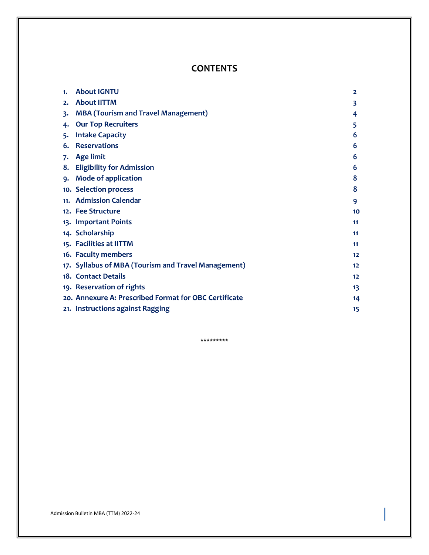### **CONTENTS**

| 1. | <b>About IGNTU</b>                                    | $\overline{2}$ |
|----|-------------------------------------------------------|----------------|
| 2. | <b>About IITTM</b>                                    | 3              |
| 3. | <b>MBA (Tourism and Travel Management)</b>            | 4              |
| 4. | <b>Our Top Recruiters</b>                             | 5              |
| 5. | <b>Intake Capacity</b>                                | 6              |
| 6. | <b>Reservations</b>                                   | 6              |
| 7. | <b>Age limit</b>                                      | 6              |
|    | 8. Eligibility for Admission                          | 6              |
|    | 9. Mode of application                                | 8              |
|    | 10. Selection process                                 | 8              |
|    | 11. Admission Calendar                                | 9              |
|    | 12. Fee Structure                                     | 10             |
|    | 13. Important Points                                  | 11             |
|    | 14. Scholarship                                       | 11             |
|    | 15. Facilities at IITTM                               | 11             |
|    | 16. Faculty members                                   | 12             |
|    | 17. Syllabus of MBA (Tourism and Travel Management)   | 12             |
|    | 18. Contact Details                                   | 12             |
|    | 19. Reservation of rights                             | 13             |
|    | 20. Annexure A: Prescribed Format for OBC Certificate | 14             |
|    | 21. Instructions against Ragging                      | 15             |

\*\*\*\*\*\*\*\*\*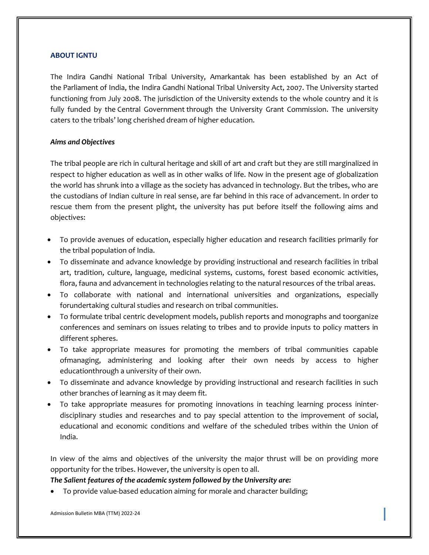#### **ABOUT IGNTU**

The Indira Gandhi National Tribal University, Amarkantak has been established by an Act of the Parliament of India, the Indira Gandhi National Tribal University Act, 2007. The University started functioning from July 2008. The jurisdiction of the University extends to the whole country and it is fully funded by the Central Government through the University Grant Commission. The university caters to the tribals' long cherished dream of higher education.

#### *Aims and Objectives*

The tribal people are rich in cultural heritage and skill of art and craft but they are still marginalized in respect to higher education as well as in other walks of life. Now in the present age of globalization the world has shrunk into a village as the society has advanced in technology. But the tribes, who are the custodians of Indian culture in real sense, are far behind in this race of advancement. In order to rescue them from the present plight, the university has put before itself the following aims and objectives:

- To provide avenues of education, especially higher education and research facilities primarily for the tribal population of India.
- To disseminate and advance knowledge by providing instructional and research facilities in tribal art, tradition, culture, language, medicinal systems, customs, forest based economic activities, flora, fauna and advancement in technologies relating to the natural resources of the tribal areas.
- To collaborate with national and international universities and organizations, especially forundertaking cultural studies and research on tribal communities.
- To formulate tribal centric development models, publish reports and monographs and toorganize conferences and seminars on issues relating to tribes and to provide inputs to policy matters in different spheres.
- To take appropriate measures for promoting the members of tribal communities capable ofmanaging, administering and looking after their own needs by access to higher educationthrough a university of their own.
- To disseminate and advance knowledge by providing instructional and research facilities in such other branches of learning as it may deem fit.
- To take appropriate measures for promoting innovations in teaching learning process ininterdisciplinary studies and researches and to pay special attention to the improvement of social, educational and economic conditions and welfare of the scheduled tribes within the Union of India.

In view of the aims and objectives of the university the major thrust will be on providing more opportunity for the tribes. However, the university is open to all.

#### *The Salient features of the academic system followed by the University are:*

• To provide value-based education aiming for morale and character building;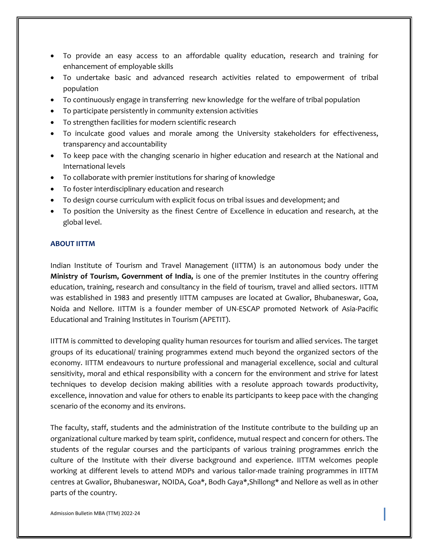- To provide an easy access to an affordable quality education, research and training for enhancement of employable skills
- To undertake basic and advanced research activities related to empowerment of tribal population
- To continuously engage in transferring new knowledge for the welfare of tribal population
- To participate persistently in community extension activities
- To strengthen facilities for modern scientific research
- To inculcate good values and morale among the University stakeholders for effectiveness, transparency and accountability
- To keep pace with the changing scenario in higher education and research at the National and International levels
- To collaborate with premier institutions for sharing of knowledge
- To foster interdisciplinary education and research
- To design course curriculum with explicit focus on tribal issues and development; and
- To position the University as the finest Centre of Excellence in education and research, at the global level.

#### **ABOUT IITTM**

Indian Institute of Tourism and Travel Management (IITTM) is an autonomous body under the **Ministry of Tourism, Government of India,** is one of the premier Institutes in the country offering education, training, research and consultancy in the field of tourism, travel and allied sectors. IITTM was established in 1983 and presently IITTM campuses are located at Gwalior, Bhubaneswar, Goa, Noida and Nellore. IITTM is a founder member of UN-ESCAP promoted Network of Asia-Pacific Educational and Training Institutes in Tourism (APETIT).

IITTM is committed to developing quality human resources for tourism and allied services. The target groups of its educational/ training programmes extend much beyond the organized sectors of the economy. IITTM endeavours to nurture professional and managerial excellence, social and cultural sensitivity, moral and ethical responsibility with a concern for the environment and strive for latest techniques to develop decision making abilities with a resolute approach towards productivity, excellence, innovation and value for others to enable its participants to keep pace with the changing scenario of the economy and its environs.

The faculty, staff, students and the administration of the Institute contribute to the building up an organizational culture marked by team spirit, confidence, mutual respect and concern for others. The students of the regular courses and the participants of various training programmes enrich the culture of the Institute with their diverse background and experience. IITTM welcomes people working at different levels to attend MDPs and various tailor-made training programmes in IITTM centres at Gwalior, Bhubaneswar, NOIDA, Goa\*, Bodh Gaya\*,Shillong\* and Nellore as well as in other parts of the country.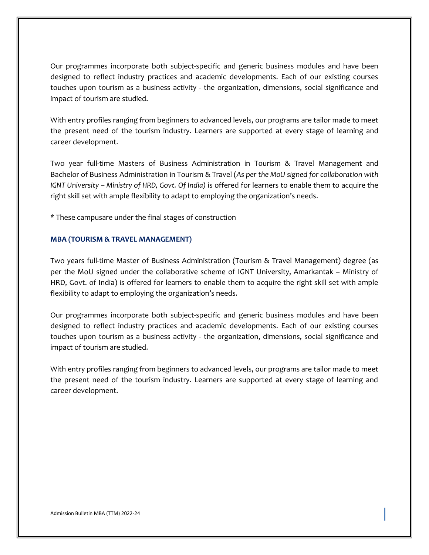Our programmes incorporate both subject-specific and generic business modules and have been designed to reflect industry practices and academic developments. Each of our existing courses touches upon tourism as a business activity - the organization, dimensions, social significance and impact of tourism are studied.

With entry profiles ranging from beginners to advanced levels, our programs are tailor made to meet the present need of the tourism industry. Learners are supported at every stage of learning and career development.

Two year full-time Masters of Business Administration in Tourism & Travel Management and Bachelor of Business Administration in Tourism & Travel (*As per the MoU signed for collaboration with IGNT University – Ministry of HRD, Govt. Of India)* is offered for learners to enable them to acquire the right skill set with ample flexibility to adapt to employing the organization's needs.

\* These campusare under the final stages of construction

#### **MBA (TOURISM & TRAVEL MANAGEMENT)**

Two years full-time Master of Business Administration (Tourism & Travel Management) degree (as per the MoU signed under the collaborative scheme of IGNT University, Amarkantak – Ministry of HRD, Govt. of India) is offered for learners to enable them to acquire the right skill set with ample flexibility to adapt to employing the organization's needs.

Our programmes incorporate both subject-specific and generic business modules and have been designed to reflect industry practices and academic developments. Each of our existing courses touches upon tourism as a business activity - the organization, dimensions, social significance and impact of tourism are studied.

With entry profiles ranging from beginners to advanced levels, our programs are tailor made to meet the present need of the tourism industry. Learners are supported at every stage of learning and career development.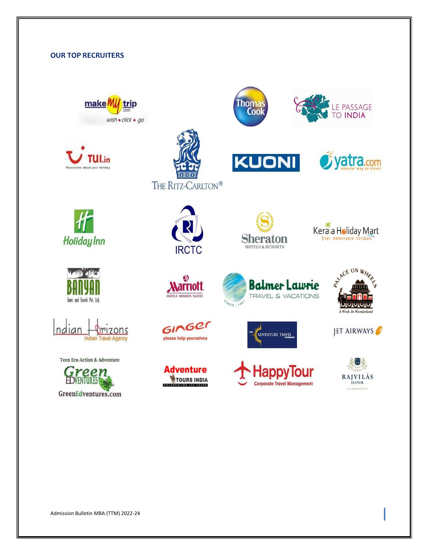#### **OUR TOP RECRUITERS**













**Teen Eco-Action & Adventure** 





**Arriott** 

HOTELS - RESORTS - SUITES

GINGER

please help yourselves

**Adventure** 

**WTOURS INDIA** 



**KUONI** 

Thomas<br>Cook



LE PASSAGE O INDIA

yatra.com













Admission Bulletin MBA (TTM) 2022-24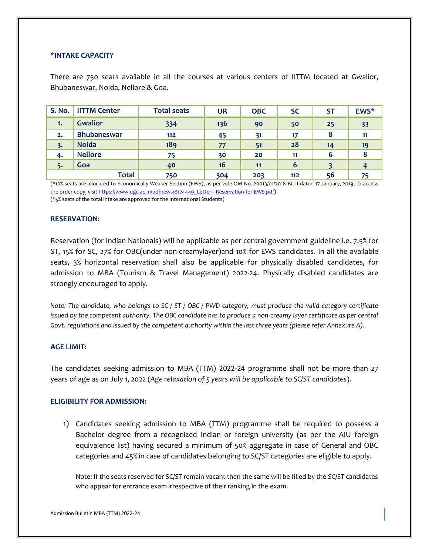#### **\*INTAKE CAPACITY**

There are 750 seats available in all the courses at various centers of IITTM located at Gwalior, Bhubaneswar, Noida, Nellore & Goa.

| <b>S. No.</b> | <b>IITTM Center</b> | <b>Total seats</b> | <b>UR</b> | <b>OBC</b> | <b>SC</b> | <b>ST</b> | EWS* |
|---------------|---------------------|--------------------|-----------|------------|-----------|-----------|------|
| 1.            | <b>Gwalior</b>      | 334                | 136       | 90         | 50        | 25        | 33   |
| 2.            | <b>Bhubaneswar</b>  | $112$              | 45        | 31         | 17        | 8         |      |
| 3.            | <b>Noida</b>        | 189                | 77        | 51         | 28        | 14        | 19   |
| 4.            | <b>Nellore</b>      | 75                 | 30        | 20         | 11        | 6         |      |
| 5.            | Goa                 | 40                 | 16        | 11         | 6         |           |      |
|               | <b>Total</b>        | 750                | 304       | 203        | 112       | 56        |      |

(\*10% seats are allocated to Economically Weaker Section (EWS), as per vide OM No. 20013/01/2018-BC-II dated 17 January, 2019, to access the order copy, visi[t https://www.ugc.ac.in/pdfnews/8174449\\_Letter---Reservation-for-EWS.pdf\)](https://www.ugc.ac.in/pdfnews/8174449_Letter---Reservation-for-EWS.pdf)

(\*5% seats of the total intake are approved for the International Students)

#### **RESERVATION**:

Reservation (for Indian Nationals) will be applicable as per central government guideline i.e. 7.5% for ST, 15% for SC, 27% for OBC(under non-creamylayer)and 10% for EWS candidates. In all the available seats, 3% horizontal reservation shall also be applicable for physically disabled candidates, for admission to MBA (Tourism & Travel Management) 2022-24. Physically disabled candidates are strongly encouraged to apply.

*Note: The candidate, who belongs to SC / ST / OBC / PWD category, must produce the valid category certificate issued by the competent authority. The OBC candidate has to produce a non-creamy layer certificate as per central Govt. regulations and issued by the competent authority within the last three years (please refer Annexure A).*

#### **AGE LIMIT:**

The candidates seeking admission to MBA (TTM) 2022-24 programme shall not be more than 27 years of age as on July 1, 2022 (*Age relaxation of 5 years will be applicable to SC/ST candidates*).

#### **ELIGIBILITY FOR ADMISSION:**

1) Candidates seeking admission to MBA (TTM) programme shall be required to possess a Bachelor degree from a recognized Indian or foreign university (as per the AIU foreign equivalence list) having secured a minimum of 50% aggregate in case of General and OBC categories and 45% in case of candidates belonging to SC/ST categories are eligible to apply.

Note: If the seats reserved for SC/ST remain vacant then the same will be filled by the SC/ST candidates who appear for entrance exam irrespective of their ranking in the exam.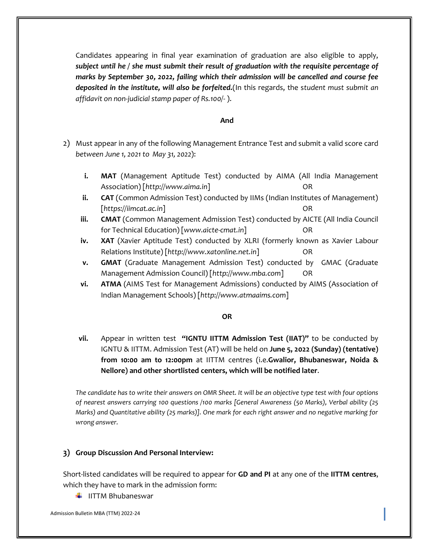Candidates appearing in final year examination of graduation are also eligible to apply, *subject until he / she must submit their result of graduation with the requisite percentage of marks by September 30, 2022, failing which their admission will be cancelled and course fee deposited in the institute, will also be forfeited.*(In this regards, the s*tudent must submit an affidavit on non-judicial stamp paper of Rs.100/-* ).

#### **And**

- 2) Must appear in any of the following Management Entrance Test and submit a valid score card *between June 1, 2021 to May 31, 2022*):
	- **i. MAT** (Management Aptitude Test) conducted by AIMA (All India Management Association) [http://www.aima.in] OR
	- **ii. CAT** (Common Admission Test) conducted by IIMs (Indian Institutes of Management) [*https://iimcat.ac.in*] OR
	- **iii. CMAT** (Common Management Admission Test) conducted by AICTE (All India Council for Technical Education) [*www.aicte-cmat.in*] OR
	- **iv. XAT** (Xavier Aptitude Test) conducted by XLRI (formerly known as Xavier Labour Relations Institute) [*http://www.xatonline.net.in*] OR
	- **v. GMAT** (Graduate Management Admission Test) conducted by GMAC (Graduate Management Admission Council) [*http://www.mba.com*] OR
	- **vi. ATMA** (AIMS Test for Management Admissions) conducted by AIMS (Association of Indian Management Schools) [*http://www.atmaaims.com*]

#### **OR**

**vii.** Appear in written test **"IGNTU IITTM Admission Test (IIAT)"** to be conducted by IGNTU & IITTM. Admission Test (AT) will be held on **June 5, 2022 (Sunday) (tentative) from 10:00 am to 12:00pm** at IITTM centres (i.e.**Gwalior, Bhubaneswar, Noida & Nellore) and other shortlisted centers, which will be notified later**.

*The candidate has to write their answers on OMR Sheet. It will be an objective type test with four options of nearest answers carrying 100 questions /100 marks [General Awareness (50 Marks), Verbal ability (25 Marks) and Quantitative ability (25 marks)]. One mark for each right answer and no negative marking for wrong answer.*

#### **3) Group Discussion And Personal Interview:**

Short-listed candidates will be required to appear for **GD and PI** at any one of the **IITTM centres**, which they have to mark in the admission form:

 $\blacksquare$  IITTM Bhubaneswar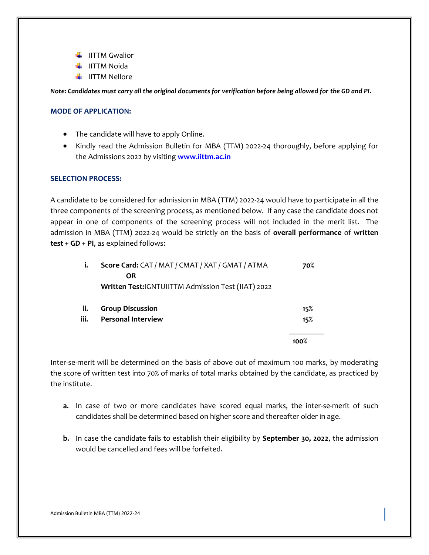- $\ddagger$  IITTM Gwalior
- $\downarrow$  IITTM Noida
- $\downarrow$  IITTM Nellore

*Note: Candidates must carry all the original documents for verification before being allowed for the GD and PI.*

#### **MODE OF APPLICATION:**

- The candidate will have to apply Online.
- Kindly read the Admission Bulletin for MBA (TTM) 2022-24 thoroughly, before applying for the Admissions 2022 by visiting **[www.iittm.ac.in](http://www.iittm.ac.in/)**

#### **SELECTION PROCESS:**

A candidate to be considered for admission in MBA (TTM) 2022-24 would have to participate in all the three components of the screening process, as mentioned below. If any case the candidate does not appear in one of components of the screening process will not included in the merit list. The admission in MBA (TTM) 2022-24 would be strictly on the basis of **overall performance** of **written test + GD + PI**, as explained follows:

| i.   | Score Card: CAT / MAT / CMAT / XAT / GMAT / ATMA   | 70%  |
|------|----------------------------------------------------|------|
|      | <b>OR</b>                                          |      |
|      | Written Test:IGNTUIITTM Admission Test (IIAT) 2022 |      |
| ii.  | <b>Group Discussion</b>                            | 15%  |
| iii. | <b>Personal Interview</b>                          | 15%  |
|      |                                                    | 100% |

Inter-se-merit will be determined on the basis of above out of maximum 100 marks, by moderating the score of written test into 70% of marks of total marks obtained by the candidate, as practiced by the institute.

- **a.** In case of two or more candidates have scored equal marks, the inter-se-merit of such candidates shall be determined based on higher score and thereafter older in age.
- **b.** In case the candidate fails to establish their eligibility by **September 30, 2022**, the admission would be cancelled and fees will be forfeited.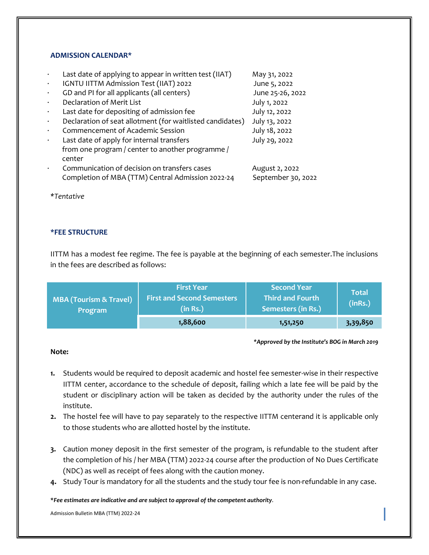#### **ADMISSION CALENDAR\***

|           | Last date of applying to appear in written test (IIAT)    | May 31, 2022       |
|-----------|-----------------------------------------------------------|--------------------|
| $\bullet$ | IGNTU IITTM Admission Test (IIAT) 2022                    | June 5, 2022       |
|           | GD and PI for all applicants (all centers)                | June 25-26, 2022   |
|           | Declaration of Merit List                                 | July 1, 2022       |
| $\bullet$ | Last date for depositing of admission fee                 | July 12, 2022      |
| $\bullet$ | Declaration of seat allotment (for waitlisted candidates) | July 13, 2022      |
|           | Commencement of Academic Session                          | July 18, 2022      |
|           | Last date of apply for internal transfers                 | July 29, 2022      |
|           | from one program / center to another programme /          |                    |
|           | center                                                    |                    |
|           | Communication of decision on transfers cases              | August 2, 2022     |
|           | Completion of MBA (TTM) Central Admission 2022-24         | September 30, 2022 |
|           |                                                           |                    |

*\*Tentative*

#### **\*FEE STRUCTURE**

IITTM has a modest fee regime. The fee is payable at the beginning of each semester.The inclusions in the fees are described as follows:

| <b>MBA (Tourism &amp; Travel)</b><br><b>Program</b> | <b>First Year</b><br><b>First and Second Semesters</b><br>(in Rs.) | <b>Second Year</b><br><b>Third and Fourth</b><br>Semesters (in Rs.) | Total<br>(inRs.) |
|-----------------------------------------------------|--------------------------------------------------------------------|---------------------------------------------------------------------|------------------|
|                                                     | 1,88,600                                                           | 1,51,250                                                            | 3,39,850         |

*\*Approved by the Institute's BOG in March 2019*

#### **Note:**

- **1.** Students would be required to deposit academic and hostel fee semester-wise in their respective IITTM center, accordance to the schedule of deposit, failing which a late fee will be paid by the student or disciplinary action will be taken as decided by the authority under the rules of the institute.
- **2.** The hostel fee will have to pay separately to the respective IITTM centerand it is applicable only to those students who are allotted hostel by the institute.
- **3.** Caution money deposit in the first semester of the program, is refundable to the student after the completion of his / her MBA (TTM) 2022-24 course after the production of No Dues Certificate (NDC) as well as receipt of fees along with the caution money.
- **4.** Study Tour is mandatory for all the students and the study tour fee is non-refundable in any case.

**\****Fee estimates are indicative and are subject to approval of the competent authority.*

Admission Bulletin MBA (TTM) 2022-24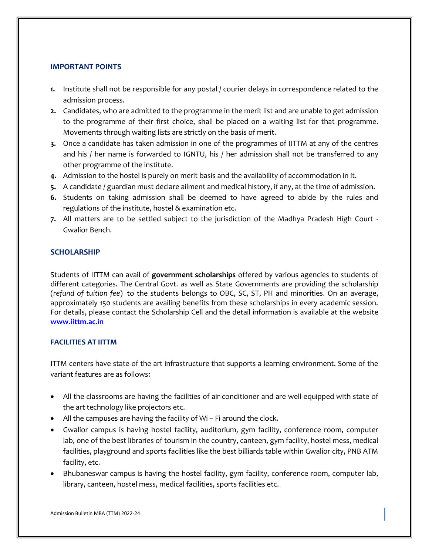#### **IMPORTANT POINTS**

- **1.** Institute shall not be responsible for any postal / courier delays in correspondence related to the admission process.
- **2.** Candidates, who are admitted to the programme in the merit list and are unable to get admission to the programme of their first choice, shall be placed on a waiting list for that programme. Movements through waiting lists are strictly on the basis of merit.
- **3.** Once a candidate has taken admission in one of the programmes of IITTM at any of the centres and his / her name is forwarded to IGNTU, his / her admission shall not be transferred to any other programme of the institute.
- **4.** Admission to the hostel is purely on merit basis and the availability of accommodation in it.
- **5.** A candidate / guardian must declare ailment and medical history, if any, at the time of admission.
- **6.** Students on taking admission shall be deemed to have agreed to abide by the rules and regulations of the institute, hostel & examination etc.
- **7.** All matters are to be settled subject to the jurisdiction of the Madhya Pradesh High Court Gwalior Bench.

#### **SCHOLARSHIP**

Students of IITTM can avail of **government scholarships** offered by various agencies to students of different categories. The Central Govt. as well as State Governments are providing the scholarship (*refund of tuition fee*) to the students belongs to OBC, SC, ST, PH and minorities. On an average, approximately 150 students are availing benefits from these scholarships in every academic session. For details, please contact the Scholarship Cell and the detail information is available at the website **[www.iittm.ac.in](http://www.iittm.ac.in/)**

#### **FACILITIES AT IITTM**

ITTM centers have state-of the art infrastructure that supports a learning environment. Some of the variant features are as follows:

- All the classrooms are having the facilities of air-conditioner and are well-equipped with state of the art technology like projectors etc.
- All the campuses are having the facility of Wi Fi around the clock.
- Gwalior campus is having hostel facility, auditorium, gym facility, conference room, computer lab, one of the best libraries of tourism in the country, canteen, gym facility, hostel mess, medical facilities, playground and sports facilities like the best billiards table within Gwalior city, PNB ATM facility, etc.
- Bhubaneswar campus is having the hostel facility, gym facility, conference room, computer lab, library, canteen, hostel mess, medical facilities, sports facilities etc.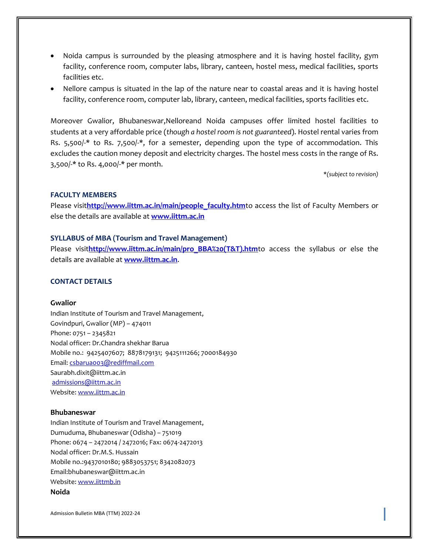- Noida campus is surrounded by the pleasing atmosphere and it is having hostel facility, gym facility, conference room, computer labs, library, canteen, hostel mess, medical facilities, sports facilities etc.
- Nellore campus is situated in the lap of the nature near to coastal areas and it is having hostel facility, conference room, computer lab, library, canteen, medical facilities, sports facilities etc.

Moreover Gwalior, Bhubaneswar,Nelloreand Noida campuses offer limited hostel facilities to students at a very affordable price (*though a hostel room is not guaranteed*). Hostel rental varies from Rs. 5,500/-\* to Rs. 7,500/-\*, for a semester, depending upon the type of accommodation. This excludes the caution money deposit and electricity charges. The hostel mess costs in the range of Rs. 3,500/-\* to Rs. 4,000/-\* per month.

\**(subject to revision)*

#### **FACULTY MEMBERS**

Please visit[http://www.iittm.ac.in/main/people\\_faculty.htm](http://www.iittm.ac.in/main/people_faculty.htm)to access the list of Faculty Members or else the details are available at **[www.iittm.ac.in](http://www.iittm.ac.in/)**

#### **SYLLABUS of MBA (Tourism and Travel Management)**

Please visithttp://www.iittm.ac.in/main/pro BBA%20(T&T).htmto access the syllabus or else the details are available at **[www.iittm.ac.in](http://www.iittm.ac.in/)**.

#### **CONTACT DETAILS**

#### **Gwalior**

Indian Institute of Tourism and Travel Management, Govindpuri, Gwalior (MP) – 474011 Phone: 0751 – 2345821 Nodal officer: Dr.Chandra shekhar Barua Mobile no.: 9425407607; 8878179131; 9425111266; 7000184930 Email: [csbarua003@rediffmail.com](mailto:csbarua003@rediffmail.com) Saurabh.dixit@iittm.ac.in [admissions@iittm.ac.in](mailto:admissions@iittm.ac.in) Website[: www.iittm.ac.in](http://www.iittm.ac.in/)

#### **Bhubaneswar**

Indian Institute of Tourism and Travel Management, Dumuduma, Bhubaneswar (Odisha) – 751019 Phone: 0674 – 2472014 / 2472016; Fax: 0674-2472013 Nodal officer: Dr.M.S. Hussain Mobile no.:9437010180; 9883053751; 8342082073 Email:bhubaneswar@iittm.ac.in Website[: www.iittmb.in](http://www.iittmb.in/) **Noida**

Admission Bulletin MBA (TTM) 2022-24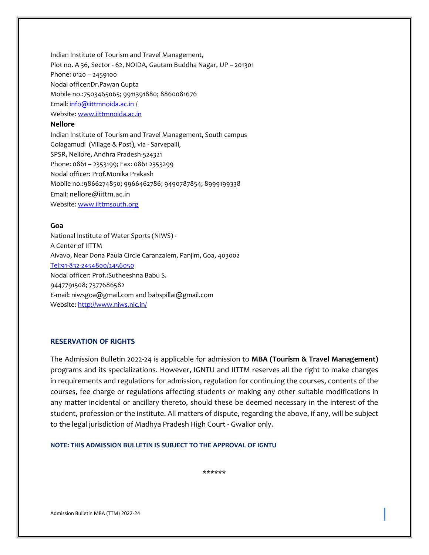Indian Institute of Tourism and Travel Management, Plot no. A 36, Sector - 62, NOIDA, Gautam Buddha Nagar, UP – 201301 Phone: 0120 – 2459100 Nodal officer:Dr.Pawan Gupta Mobile no.:7503465065; 9911391880; 8860081676 Email[: info@iittmnoida.ac.in](mailto:info@iittmnoida.ac.in) / Website[: www.iittmnoida.ac.in](http://www.iittmnoida.ac.in/)

#### **Nellore**

Indian Institute of Tourism and Travel Management, South campus Golagamudi (Village & Post), via - Sarvepalli, SPSR, Nellore, Andhra Pradesh-524321 Phone: 0861 – 2353199; Fax: 0861 2353299 Nodal officer: Prof.Monika Prakash Mobile no.:9866274850; 9966462786; 9490787854; 8999199338 Email: nellore@iittm.ac.in Website[: www.iittmsouth.org](http://www.iittmsouth.org/)

#### **Goa**

National Institute of Water Sports (NIWS) - A Center of IITTM Aivavo, Near Dona Paula Circle Caranzalem, Panjim, Goa, 403002 [Tel:91-832-2454800/2456050](tel:91-832-2454800/2456050) Nodal officer: Prof.:Sutheeshna Babu S. 9447791508; 7377686582 E-mail: [niwsgoa@gmail.com](mailto:niwsgoa@gmail.com) an[d babspillai@gmail.com](mailto:babspillai@gmail.com) Website[: http://www.niws.nic.in/](http://www.niws.nic.in/)

#### **RESERVATION OF RIGHTS**

The Admission Bulletin 2022-24 is applicable for admission to **MBA (Tourism & Travel Management)**  programs and its specializations. However, IGNTU and IITTM reserves all the right to make changes in requirements and regulations for admission, regulation for continuing the courses, contents of the courses, fee charge or regulations affecting students or making any other suitable modifications in any matter incidental or ancillary thereto, should these be deemed necessary in the interest of the student, profession or the institute. All matters of dispute, regarding the above, if any, will be subject to the legal jurisdiction of Madhya Pradesh High Court - Gwalior only.

#### **NOTE: THIS ADMISSION BULLETIN IS SUBJECT TO THE APPROVAL OF IGNTU**

**\*\*\*\*\*\***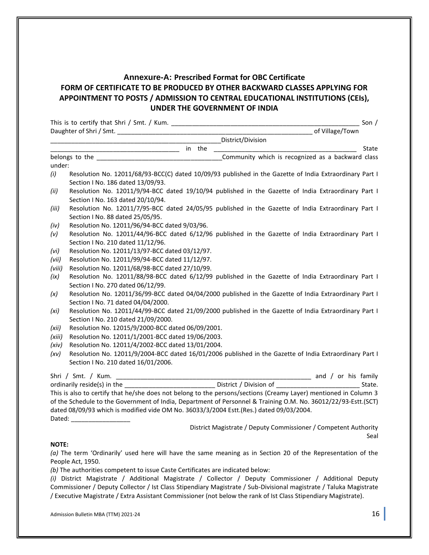### **Annexure-A: Prescribed Format for OBC Certificate FORM OF CERTIFICATE TO BE PRODUCED BY OTHER BACKWARD CLASSES APPLYING FOR APPOINTMENT TO POSTS / ADMISSION TO CENTRAL EDUCATIONAL INSTITUTIONS (CEIs), UNDER THE GOVERNMENT OF INDIA**

|        |                                                                                                                                                                                                                                                                                                                                                                 |  | State |
|--------|-----------------------------------------------------------------------------------------------------------------------------------------------------------------------------------------------------------------------------------------------------------------------------------------------------------------------------------------------------------------|--|-------|
|        |                                                                                                                                                                                                                                                                                                                                                                 |  |       |
| under: |                                                                                                                                                                                                                                                                                                                                                                 |  |       |
| (i)    | Resolution No. 12011/68/93-BCC(C) dated 10/09/93 published in the Gazette of India Extraordinary Part I<br>Section I No. 186 dated 13/09/93.                                                                                                                                                                                                                    |  |       |
| (ii)   | Resolution No. 12011/9/94-BCC dated 19/10/94 published in the Gazette of India Extraordinary Part I<br>Section I No. 163 dated 20/10/94.                                                                                                                                                                                                                        |  |       |
| (iii)  | Resolution No. 12011/7/95-BCC dated 24/05/95 published in the Gazette of India Extraordinary Part I<br>Section I No. 88 dated 25/05/95.                                                                                                                                                                                                                         |  |       |
| (iv)   | Resolution No. 12011/96/94-BCC dated 9/03/96.                                                                                                                                                                                                                                                                                                                   |  |       |
| (v)    | Resolution No. 12011/44/96-BCC dated 6/12/96 published in the Gazette of India Extraordinary Part I<br>Section I No. 210 dated 11/12/96.                                                                                                                                                                                                                        |  |       |
| (vi)   | Resolution No. 12011/13/97-BCC dated 03/12/97.                                                                                                                                                                                                                                                                                                                  |  |       |
| (vii)  | Resolution No. 12011/99/94-BCC dated 11/12/97.                                                                                                                                                                                                                                                                                                                  |  |       |
| (viii) | Resolution No. 12011/68/98-BCC dated 27/10/99.                                                                                                                                                                                                                                                                                                                  |  |       |
| (ix)   | Resolution No. 12011/88/98-BCC dated 6/12/99 published in the Gazette of India Extraordinary Part I<br>Section I No. 270 dated 06/12/99.                                                                                                                                                                                                                        |  |       |
| (x)    | Resolution No. 12011/36/99-BCC dated 04/04/2000 published in the Gazette of India Extraordinary Part I<br>Section I No. 71 dated 04/04/2000.                                                                                                                                                                                                                    |  |       |
| (xi)   | Resolution No. 12011/44/99-BCC dated 21/09/2000 published in the Gazette of India Extraordinary Part I<br>Section I No. 210 dated 21/09/2000.                                                                                                                                                                                                                   |  |       |
| (xii)  | Resolution No. 12015/9/2000-BCC dated 06/09/2001.                                                                                                                                                                                                                                                                                                               |  |       |
| (xiii) | Resolution No. 12011/1/2001-BCC dated 19/06/2003.                                                                                                                                                                                                                                                                                                               |  |       |
| (xiv)  | Resolution No. 12011/4/2002-BCC dated 13/01/2004.                                                                                                                                                                                                                                                                                                               |  |       |
| (xv)   | Resolution No. 12011/9/2004-BCC dated 16/01/2006 published in the Gazette of India Extraordinary Part I<br>Section I No. 210 dated 16/01/2006.                                                                                                                                                                                                                  |  |       |
|        |                                                                                                                                                                                                                                                                                                                                                                 |  |       |
|        |                                                                                                                                                                                                                                                                                                                                                                 |  |       |
|        | This is also to certify that he/she does not belong to the persons/sections (Creamy Layer) mentioned in Column 3<br>of the Schedule to the Government of India, Department of Personnel & Training O.M. No. 36012/22/93-Estt.(SCT)<br>dated 08/09/93 which is modified vide OM No. 36033/3/2004 Estt.(Res.) dated 09/03/2004.<br>Dated: _______________________ |  |       |
|        |                                                                                                                                                                                                                                                                                                                                                                 |  |       |

District Magistrate / Deputy Commissioner / Competent Authority Seal

#### **NOTE:**

*(a)* The term 'Ordinarily' used here will have the same meaning as in Section 20 of the Representation of the People Act, 1950.

*(b)* The authorities competent to issue Caste Certificates are indicated below:

*(i)* District Magistrate / Additional Magistrate / Collector / Deputy Commissioner / Additional Deputy Commissioner / Deputy Collector / Ist Class Stipendiary Magistrate / Sub-Divisional magistrate / Taluka Magistrate / Executive Magistrate / Extra Assistant Commissioner (not below the rank of Ist Class Stipendiary Magistrate).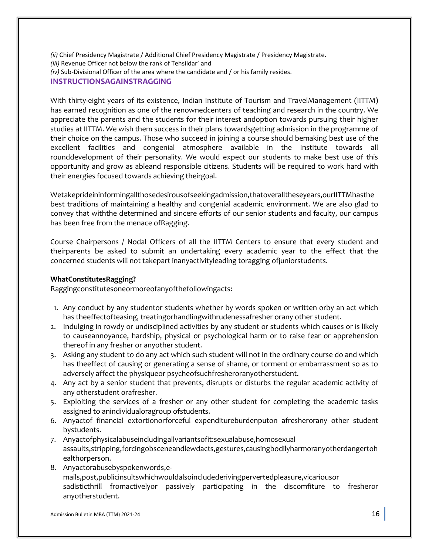*(ii)* Chief Presidency Magistrate / Additional Chief Presidency Magistrate / Presidency Magistrate. *(iii)* Revenue Officer not below the rank of Tehsildar' and *(iv)* Sub-Divisional Officer of the area where the candidate and / or his family resides. **INSTRUCTIONSAGAINSTRAGGING**

With thirty-eight years of its existence, Indian Institute of Tourism and TravelManagement (IITTM) has earned recognition as one of the renownedcenters of teaching and research in the country. We appreciate the parents and the students for their interest andoption towards pursuing their higher studies at IITTM. We wish them success in their plans towardsgetting admission in the programme of their choice on the campus. Those who succeed in joining a course should bemaking best use of the excellent facilities and congenial atmosphere available in the Institute towards all rounddevelopment of their personality. We would expect our students to make best use of this opportunity and grow as ableand responsible citizens. Students will be required to work hard with their energies focused towards achieving theirgoal.

Wetakeprideininformingallthosedesirousofseekingadmission,thatoveralltheseyears,ourIITTMhasthe best traditions of maintaining a healthy and congenial academic environment. We are also glad to convey that withthe determined and sincere efforts of our senior students and faculty, our campus has been free from the menace ofRagging.

Course Chairpersons / Nodal Officers of all the IITTM Centers to ensure that every student and theirparents be asked to submit an undertaking every academic year to the effect that the concerned students will not takepart inanyactivityleading toragging ofjuniorstudents.

#### **WhatConstitutesRagging?**

Raggingconstitutesoneormoreofanyofthefollowingacts:

- 1. Any conduct by any studentor students whether by words spoken or written orby an act which has theeffectofteasing, treatingorhandlingwithrudenessafresher orany other student.
- 2. Indulging in rowdy or undisciplined activities by any student or students which causes or is likely to causeannoyance, hardship, physical or psychological harm or to raise fear or apprehension thereof in any fresher or anyother student.
- 3. Asking any student to do any act which such student will not in the ordinary course do and which has theeffect of causing or generating a sense of shame, or torment or embarrassment so as to adversely affect the physiqueor psycheofsuchfresheroranyotherstudent.
- 4. Any act by a senior student that prevents, disrupts or disturbs the regular academic activity of any otherstudent orafresher.
- 5. Exploiting the services of a fresher or any other student for completing the academic tasks assigned to anindividualoragroup ofstudents.
- 6. Anyactof financial extortionorforceful expenditureburdenputon afresherorany other student bystudents.
- 7. Anyactofphysicalabuseincludingallvariantsofit:sexualabuse,homosexual assaults,stripping,forcingobsceneandlewdacts,gestures,causingbodilyharmoranyotherdangertoh ealthorperson.
- 8. Anyactorabusebyspokenwords,emails,post,publicinsultswhichwouldalsoincludederivingpervertedpleasure,vicariousor sadisticthrill fromactivelyor passively participating in the discomfiture to fresheror anyotherstudent.